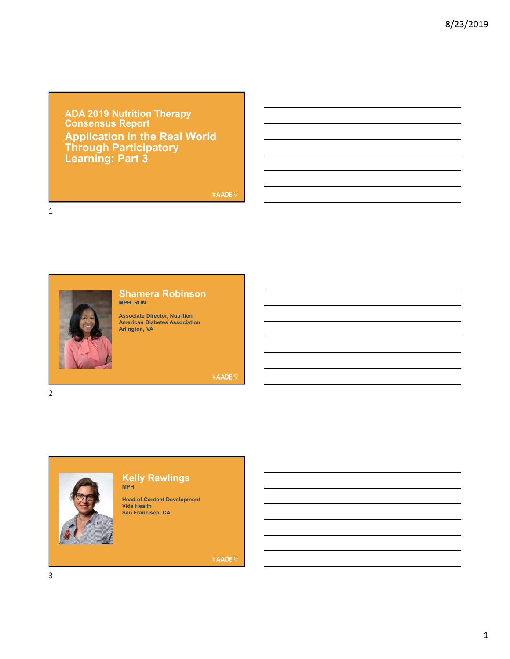**ADA 2019 Nutrition Therapy Consensus Report Application in the Real World Through Participatory Learning: Part 3**

#### #AADE<sup>19</sup>

1



# **Shamera Robinson MPH, RDN**

**Associate Director, Nutrition American Diabetes Association Arlington, VA**

#AADE19

2



#### **Kelly Rawlings MPH**

**Head of Content Development Vida Health San Francisco, CA**

#AADE<sup>19</sup>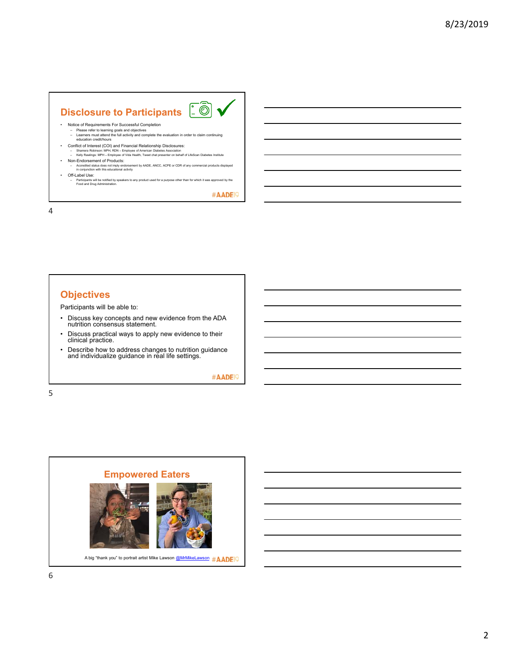# **Disclosure to Participants**  $\begin{bmatrix} 0 \\ 0 \end{bmatrix}$ • Notice of Requirements For Successful Completion – Please refer to learning goals and objectives – Learners must attend the full activity and complete the evaluation in order to claim continuing education credit/hours

- Conflict of Interest (COI) and Financial Relationship Disclosures:<br>- Shamera Robinson: MPH, RDN Employee of American Diabetes Association<br>- Kelly Rawlings: MPH Employee of Vida Health, Tweet chat presenter on behalf
- 
- Non-Endorsement of Products: Accredited status does not imply endorsement by AADE, ANCC, ACPE or CDR of any commercial products displayed in conjunction with this educational activity • Off-Label Use:
	- Participants will be notified by speakers to any product used for a purpose other than for which it was approved by the Food and Drug Administration.

#AADE<sup>19</sup>

4

### **Objectives**

Participants will be able to:

- Discuss key concepts and new evidence from the ADA nutrition consensus statement.
- Discuss practical ways to apply new evidence to their clinical practice.
- Describe how to address changes to nutrition guidance and individualize guidance in real life settings.

#AADE<sup>19</sup>

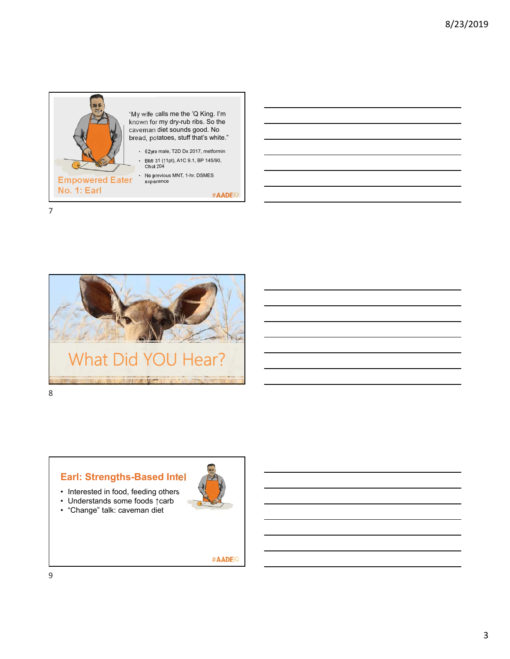



# **Earl: Strengths-Based Intel** • Interested in food, feeding others

- Understands some foods ↑carb
- 
- "Change" talk: caveman diet



#AADE<sup>19</sup>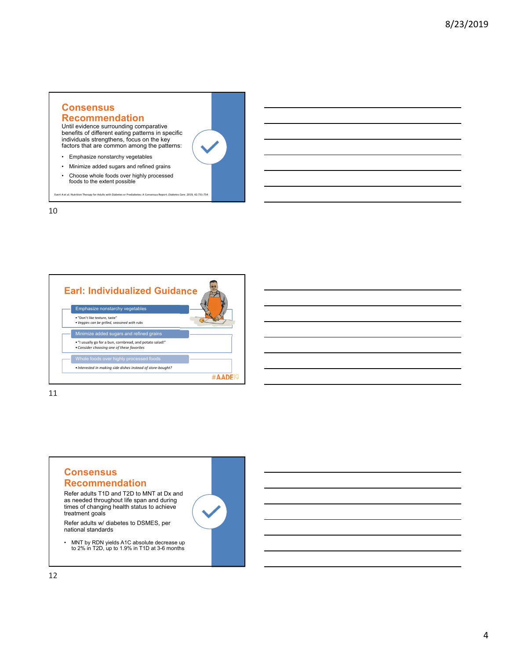#### **Consensus Recommendation**

Until evidence surrounding comparative benefits of different eating patterns in specific individuals strengthens, focus on the key factors that are common among the patterns:

- Emphasize nonstarchy vegetables
- Minimize added sugars and refined grains
- Choose whole foods over highly processed foods to the extent possible

Evert A et al. Nutrition Therapy for Adults with Diabetes or Prediabetes: A Consensus Report. *Diabetes Care.* 2019; 42:731‐754

10



11

#### **Consensus Recommendation** Refer adults T1D and T2D to MNT at Dx and as needed throughout life span and during times of changing health status to achieve treatment goals

Refer adults w/ diabetes to DSMES, per national standards

• MNT by RDN yields A1C absolute decrease up to 2% in T2D, up to 1.9% in T1D at 3-6 months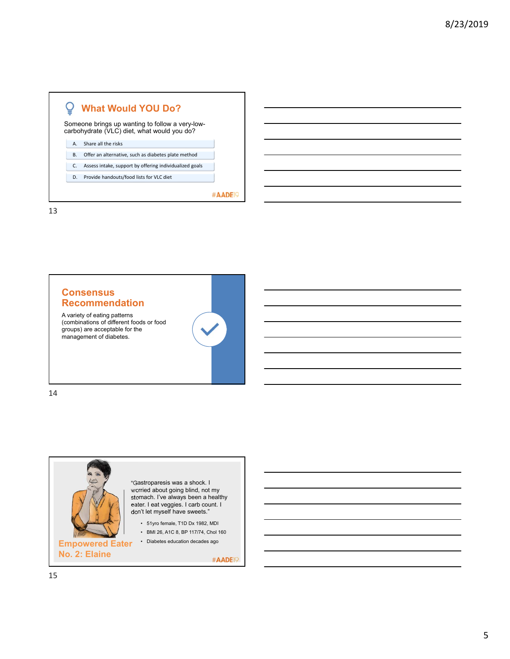



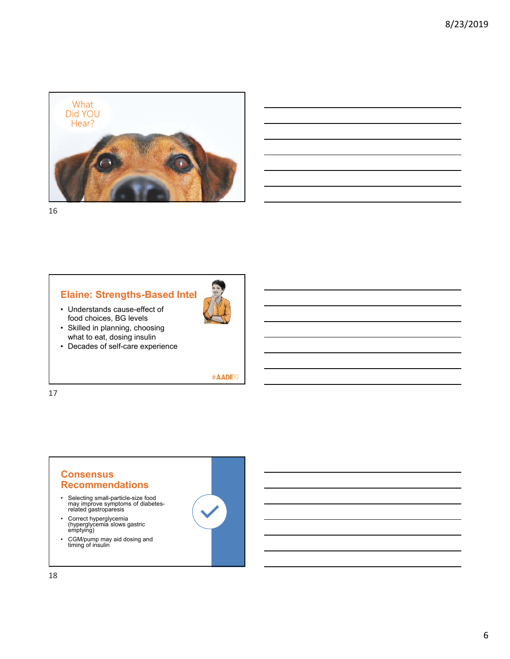

# **Elaine: Strengths-Based Intel**

- Understands cause-effect of food choices, BG levels
- Skilled in planning, choosing what to eat, dosing insulin
- Decades of self-care experience



#AADE<sup>19</sup>

#### 17

### **Consensus Recommendations**

- Selecting small-particle-size food may improve symptoms of diabetes-related gastroparesis
- Correct hyperglycemia (hyperglycemia slows gastric emptying)
- CGM/pump may aid dosing and timing of insulin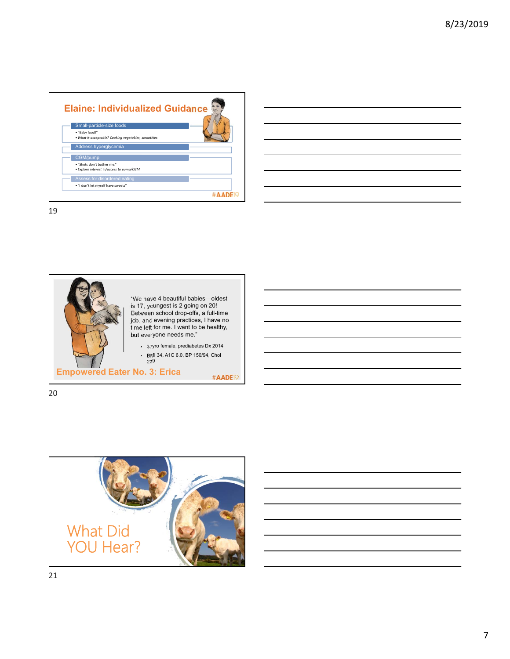

| ,我们也不会有一个人的事情。""我们的人们,我们也不会有一个人的人,我们也不会有一个人的人,我们也不会有一个人的人,我们也不会有一个人的人,我们也不会有一个人的<br>第一百一十一章 我们的人,我们的人们的人们,我们的人们的人们的人们,我们的人们的人们的人们,我们的人们的人们,我们的人们的人们,我们的人们的人们,我们的人们的人 |  |  |           |
|----------------------------------------------------------------------------------------------------------------------------------------------------------------------|--|--|-----------|
|                                                                                                                                                                      |  |  | _________ |
|                                                                                                                                                                      |  |  |           |
|                                                                                                                                                                      |  |  |           |
| $\overline{\phantom{a}}$                                                                                                                                             |  |  |           |
|                                                                                                                                                                      |  |  |           |
|                                                                                                                                                                      |  |  |           |



20

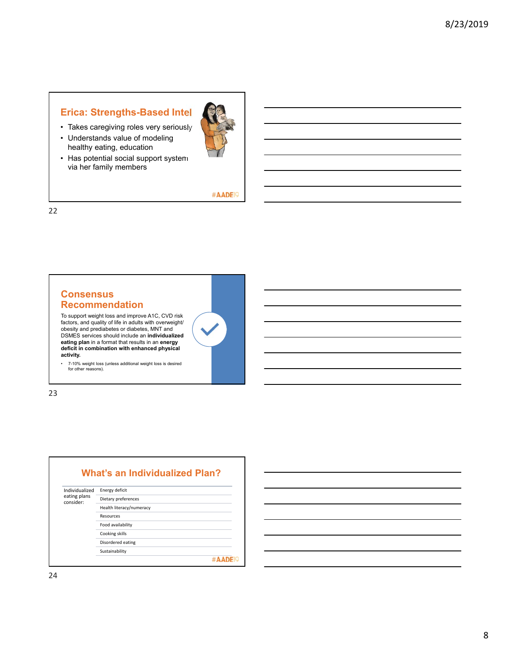## **Erica: Strengths-Based Intel**

- Takes caregiving roles very seriously
- Understands value of modeling healthy eating, education
- Has potential social support system via her family members

#AADE<sup>19</sup>

22

### **Consensus Recommendation**

To support weight loss and improve A1C, CVD risk factors, and quality of life in adults with overweight/ obesity and prediabetes or diabetes, MNT and DSMES services should include an **individualized eating plan** in a format that results in an **energy deficit in combination with enhanced physical activity.**

• 7-10% weight loss (unless additional weight loss is desired for other reasons).

23

### **What's an Individualized Plan?**

| Individualized<br>eating plans<br>consider: | Energy deficit           |              |
|---------------------------------------------|--------------------------|--------------|
|                                             | Dietary preferences      |              |
|                                             | Health literacy/numeracy |              |
|                                             | Resources                |              |
|                                             | Food availability        |              |
|                                             | Cooking skills           |              |
|                                             | Disordered eating        |              |
|                                             | Sustainability           |              |
|                                             |                          | $\mathbf{H}$ |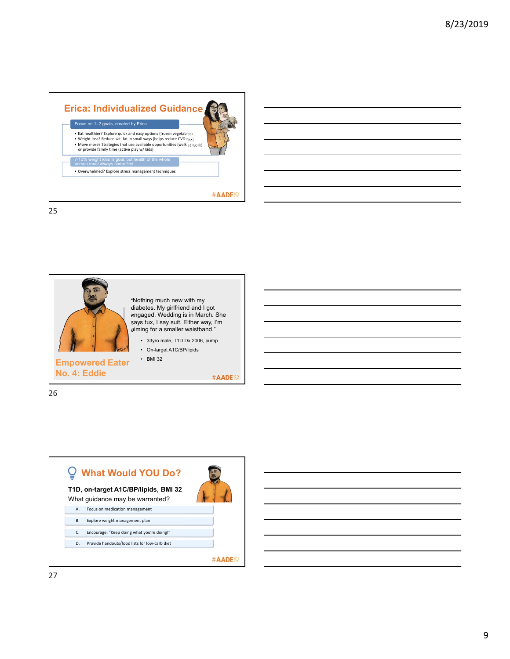